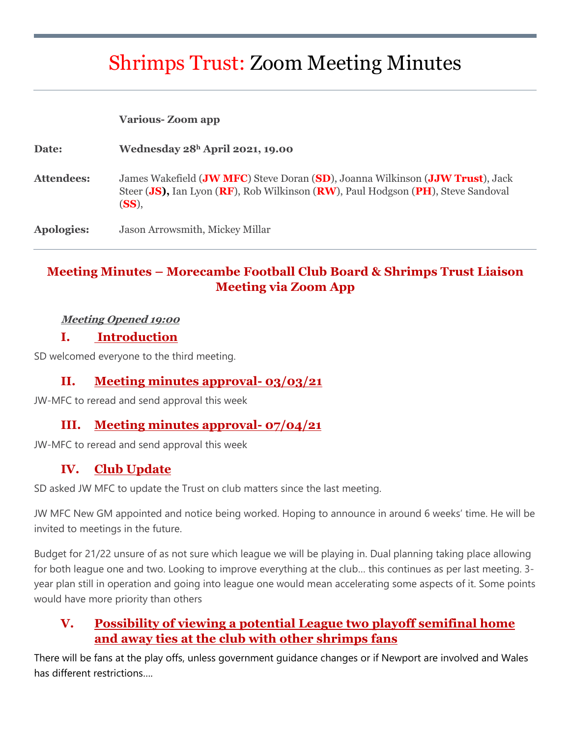# Shrimps Trust: Zoom Meeting Minutes

#### **Various- Zoom app**

| Date:      | Wednesday $28h$ April 2021, 19.00                                                                                                                                          |
|------------|----------------------------------------------------------------------------------------------------------------------------------------------------------------------------|
| Attendees: | James Wakefield (JW MFC) Steve Doran (SD), Joanna Wilkinson (JJW Trust), Jack<br>Steer (JS), Ian Lyon (RF), Rob Wilkinson (RW), Paul Hodgson (PH), Steve Sandoval<br>(SS), |
| Apologies: | Jason Arrowsmith, Mickey Millar                                                                                                                                            |

# **Meeting Minutes – Morecambe Football Club Board & Shrimps Trust Liaison Meeting via Zoom App**

#### **Meeting Opened 19:00**

#### **I. Introduction**

SD welcomed everyone to the third meeting.

#### **II. Meeting minutes approval- 03/03/21**

JW-MFC to reread and send approval this week

#### **III. Meeting minutes approval- 07/04/21**

JW-MFC to reread and send approval this week

## **IV. Club Update**

SD asked JW MFC to update the Trust on club matters since the last meeting.

JW MFC New GM appointed and notice being worked. Hoping to announce in around 6 weeks' time. He will be invited to meetings in the future.

Budget for 21/22 unsure of as not sure which league we will be playing in. Dual planning taking place allowing for both league one and two. Looking to improve everything at the club… this continues as per last meeting. 3 year plan still in operation and going into league one would mean accelerating some aspects of it. Some points would have more priority than others

## **V. Possibility of viewing a potential League two playoff semifinal home and away ties at the club with other shrimps fans**

There will be fans at the play offs, unless government guidance changes or if Newport are involved and Wales has different restrictions….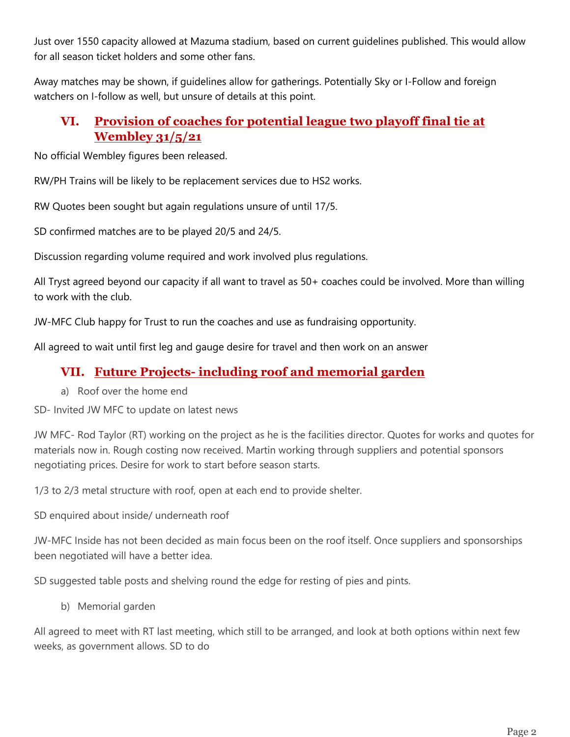Just over 1550 capacity allowed at Mazuma stadium, based on current guidelines published. This would allow for all season ticket holders and some other fans.

Away matches may be shown, if guidelines allow for gatherings. Potentially Sky or I-Follow and foreign watchers on I-follow as well, but unsure of details at this point.

## **VI. Provision of coaches for potential league two playoff final tie at Wembley 31/5/21**

No official Wembley figures been released.

RW/PH Trains will be likely to be replacement services due to HS2 works.

RW Quotes been sought but again regulations unsure of until 17/5.

SD confirmed matches are to be played 20/5 and 24/5.

Discussion regarding volume required and work involved plus regulations.

All Tryst agreed beyond our capacity if all want to travel as 50+ coaches could be involved. More than willing to work with the club.

JW-MFC Club happy for Trust to run the coaches and use as fundraising opportunity.

All agreed to wait until first leg and gauge desire for travel and then work on an answer

## **VII. Future Projects- including roof and memorial garden**

a) Roof over the home end

SD- Invited JW MFC to update on latest news

JW MFC- Rod Taylor (RT) working on the project as he is the facilities director. Quotes for works and quotes for materials now in. Rough costing now received. Martin working through suppliers and potential sponsors negotiating prices. Desire for work to start before season starts.

1/3 to 2/3 metal structure with roof, open at each end to provide shelter.

SD enquired about inside/ underneath roof

JW-MFC Inside has not been decided as main focus been on the roof itself. Once suppliers and sponsorships been negotiated will have a better idea.

SD suggested table posts and shelving round the edge for resting of pies and pints.

b) Memorial garden

All agreed to meet with RT last meeting, which still to be arranged, and look at both options within next few weeks, as government allows. SD to do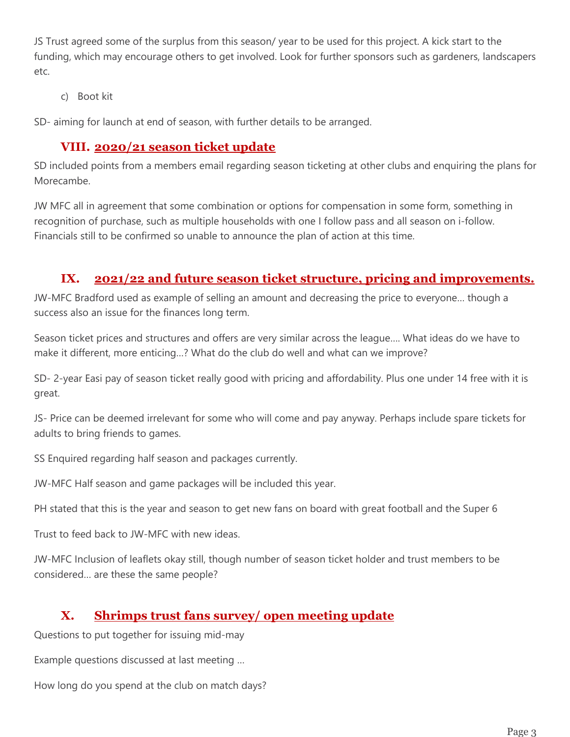JS Trust agreed some of the surplus from this season/ year to be used for this project. A kick start to the funding, which may encourage others to get involved. Look for further sponsors such as gardeners, landscapers etc.

c) Boot kit

SD- aiming for launch at end of season, with further details to be arranged.

#### **VIII. 2020/21 season ticket update**

SD included points from a members email regarding season ticketing at other clubs and enquiring the plans for Morecambe.

JW MFC all in agreement that some combination or options for compensation in some form, something in recognition of purchase, such as multiple households with one I follow pass and all season on i-follow. Financials still to be confirmed so unable to announce the plan of action at this time.

#### **IX. 2021/22 and future season ticket structure, pricing and improvements.**

JW-MFC Bradford used as example of selling an amount and decreasing the price to everyone… though a success also an issue for the finances long term.

Season ticket prices and structures and offers are very similar across the league…. What ideas do we have to make it different, more enticing…? What do the club do well and what can we improve?

SD- 2-year Easi pay of season ticket really good with pricing and affordability. Plus one under 14 free with it is great.

JS- Price can be deemed irrelevant for some who will come and pay anyway. Perhaps include spare tickets for adults to bring friends to games.

SS Enquired regarding half season and packages currently.

JW-MFC Half season and game packages will be included this year.

PH stated that this is the year and season to get new fans on board with great football and the Super 6

Trust to feed back to JW-MFC with new ideas.

JW-MFC Inclusion of leaflets okay still, though number of season ticket holder and trust members to be considered… are these the same people?

## **X. Shrimps trust fans survey/ open meeting update**

Questions to put together for issuing mid-may

Example questions discussed at last meeting …

How long do you spend at the club on match days?